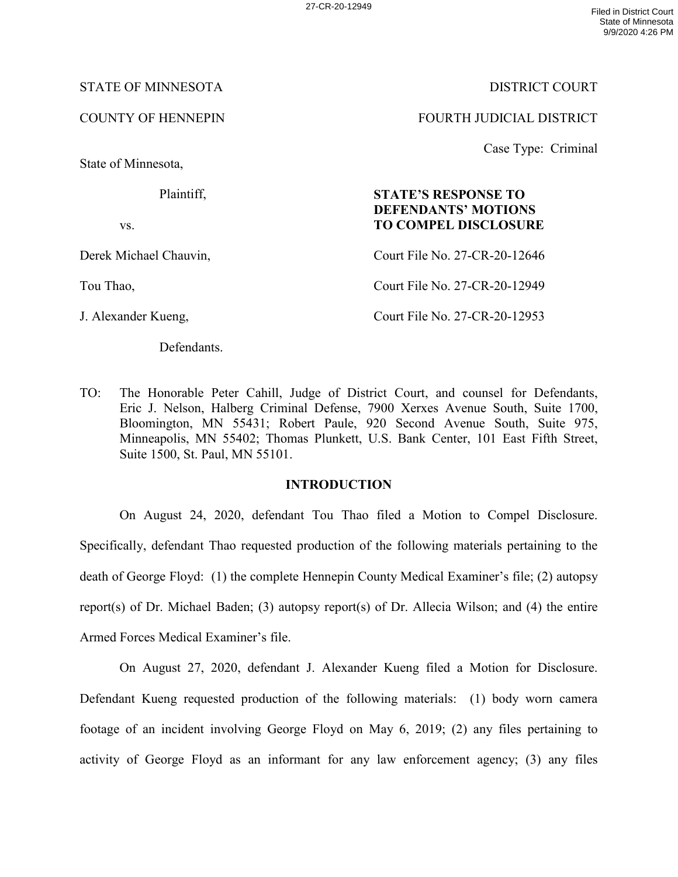27-CR-20-12949 Filed in District Court

State of Minnesota 9/9/2020 4:26 PM

# STATE OF MINNESOTA DISTRICT COURT

State of Minnesota,

# Plaintiff,

vs.

Derek Michael Chauvin,

Tou Thao,

J. Alexander Kueng,

Defendants.

COUNTY OF HENNEPIN FOURTH JUDICIAL DISTRICT

Case Type: Criminal

# **STATE'S RESPONSE TO DEFENDANTS' MOTIONS TO COMPEL DISCLOSURE**

Court File No. 27-CR-20-12646

Court File No. 27-CR-20-12949

Court File No. 27-CR-20-12953

TO: The Honorable Peter Cahill, Judge of District Court, and counsel for Defendants, Eric J. Nelson, Halberg Criminal Defense, 7900 Xerxes Avenue South, Suite 1700, Bloomington, MN 55431; Robert Paule, 920 Second Avenue South, Suite 975, Minneapolis, MN 55402; Thomas Plunkett, U.S. Bank Center, 101 East Fifth Street, Suite 1500, St. Paul, MN 55101.

# **INTRODUCTION**

On August 24, 2020, defendant Tou Thao filed a Motion to Compel Disclosure. Specifically, defendant Thao requested production of the following materials pertaining to the death of George Floyd: (1) the complete Hennepin County Medical Examiner's file; (2) autopsy report(s) of Dr. Michael Baden; (3) autopsy report(s) of Dr. Allecia Wilson; and (4) the entire Armed Forces Medical Examiner's file.

On August 27, 2020, defendant J. Alexander Kueng filed a Motion for Disclosure. Defendant Kueng requested production of the following materials: (1) body worn camera footage of an incident involving George Floyd on May 6, 2019; (2) any files pertaining to activity of George Floyd as an informant for any law enforcement agency; (3) any files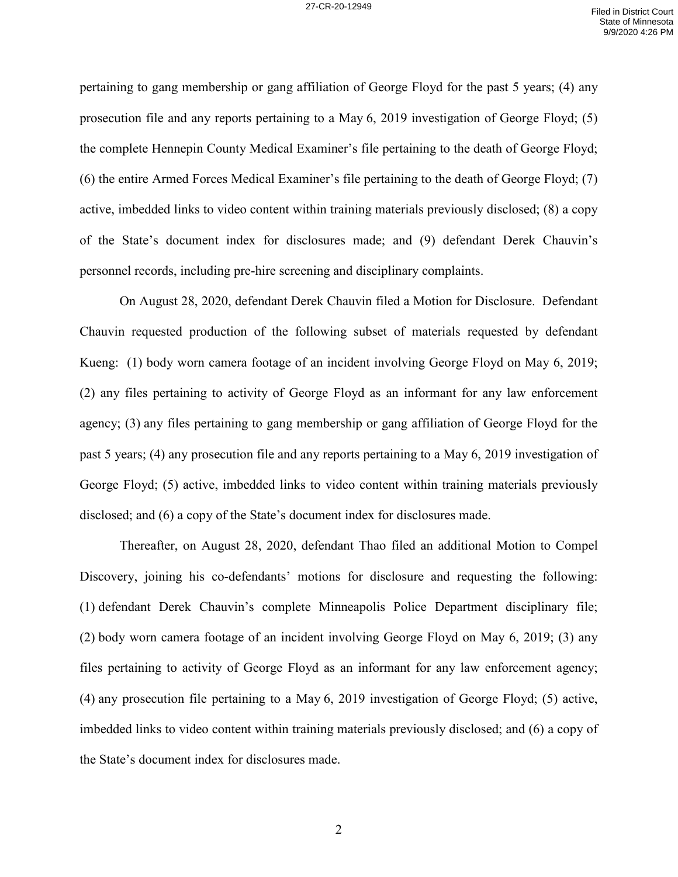pertaining to gang membership or gang affiliation of George Floyd for the past 5 years; (4) any prosecution file and any reports pertaining to a May 6, 2019 investigation of George Floyd; (5) the complete Hennepin County Medical Examiner's file pertaining to the death of George Floyd; (6) the entire Armed Forces Medical Examiner's file pertaining to the death of George Floyd; (7) active, imbedded links to video content within training materials previously disclosed; (8) a copy of the State's document index for disclosures made; and (9) defendant Derek Chauvin's personnel records, including pre-hire screening and disciplinary complaints.

On August 28, 2020, defendant Derek Chauvin filed a Motion for Disclosure. Defendant Chauvin requested production of the following subset of materials requested by defendant Kueng: (1) body worn camera footage of an incident involving George Floyd on May 6, 2019; (2) any files pertaining to activity of George Floyd as an informant for any law enforcement agency; (3) any files pertaining to gang membership or gang affiliation of George Floyd for the past 5 years; (4) any prosecution file and any reports pertaining to a May 6, 2019 investigation of George Floyd; (5) active, imbedded links to video content within training materials previously disclosed; and (6) a copy of the State's document index for disclosures made.

Thereafter, on August 28, 2020, defendant Thao filed an additional Motion to Compel Discovery, joining his co-defendants' motions for disclosure and requesting the following: (1) defendant Derek Chauvin's complete Minneapolis Police Department disciplinary file; (2) body worn camera footage of an incident involving George Floyd on May 6, 2019; (3) any files pertaining to activity of George Floyd as an informant for any law enforcement agency; (4) any prosecution file pertaining to a May 6, 2019 investigation of George Floyd; (5) active, imbedded links to video content within training materials previously disclosed; and (6) a copy of the State's document index for disclosures made.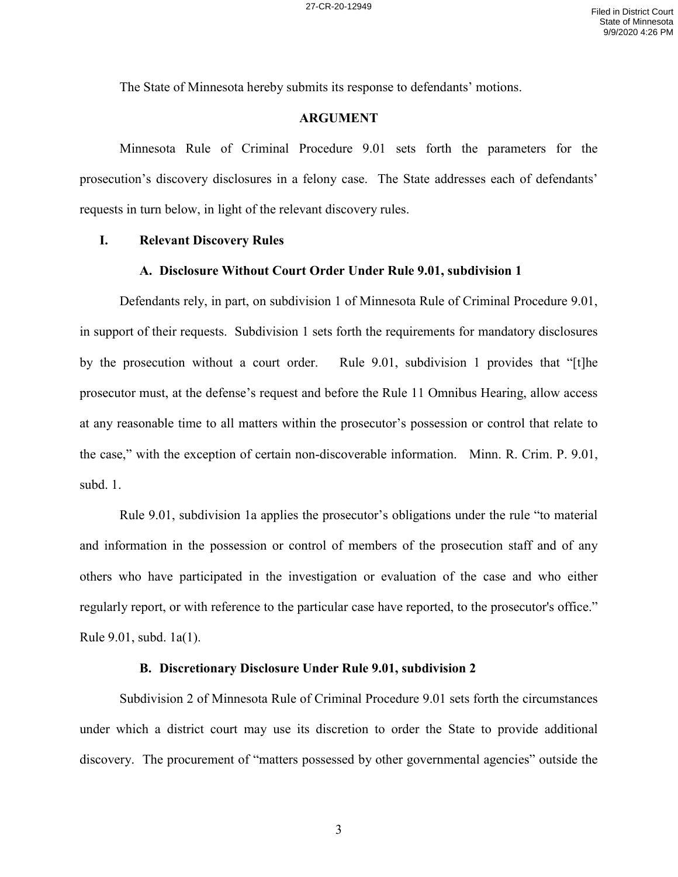The State of Minnesota hereby submits its response to defendants' motions.

# **ARGUMENT**

Minnesota Rule of Criminal Procedure 9.01 sets forth the parameters for the prosecution's discovery disclosures in a felony case. The State addresses each of defendants' requests in turn below, in light of the relevant discovery rules.

# **I. Relevant Discovery Rules**

## **A. Disclosure Without Court Order Under Rule 9.01, subdivision 1**

Defendants rely, in part, on subdivision 1 of Minnesota Rule of Criminal Procedure 9.01, in support of their requests. Subdivision 1 sets forth the requirements for mandatory disclosures by the prosecution without a court order. Rule 9.01, subdivision 1 provides that "[t]he prosecutor must, at the defense's request and before the Rule 11 Omnibus Hearing, allow access at any reasonable time to all matters within the prosecutor's possession or control that relate to the case," with the exception of certain non-discoverable information. Minn. R. Crim. P. 9.01, subd. 1.

Rule 9.01, subdivision 1a applies the prosecutor's obligations under the rule "to material and information in the possession or control of members of the prosecution staff and of any others who have participated in the investigation or evaluation of the case and who either regularly report, or with reference to the particular case have reported, to the prosecutor's office." Rule 9.01, subd. 1a(1).

#### **B. Discretionary Disclosure Under Rule 9.01, subdivision 2**

Subdivision 2 of Minnesota Rule of Criminal Procedure 9.01 sets forth the circumstances under which a district court may use its discretion to order the State to provide additional discovery. The procurement of "matters possessed by other governmental agencies" outside the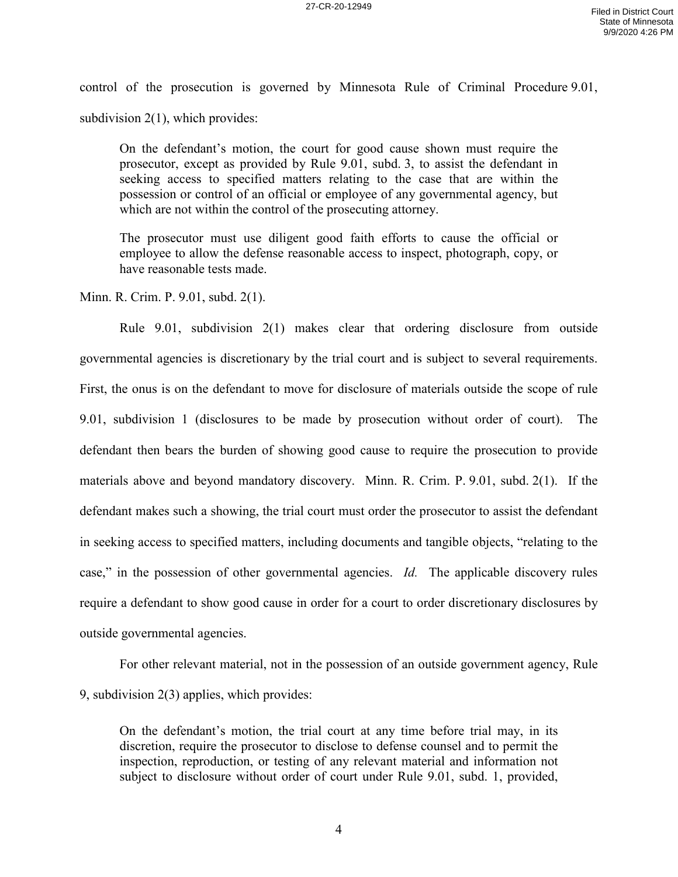control of the prosecution is governed by Minnesota Rule of Criminal Procedure 9.01, subdivision 2(1), which provides:

On the defendant's motion, the court for good cause shown must require the prosecutor, except as provided by Rule 9.01, subd. 3, to assist the defendant in seeking access to specified matters relating to the case that are within the possession or control of an official or employee of any governmental agency, but which are not within the control of the prosecuting attorney.

The prosecutor must use diligent good faith efforts to cause the official or employee to allow the defense reasonable access to inspect, photograph, copy, or have reasonable tests made.

Minn. R. Crim. P. 9.01, subd. 2(1).

Rule 9.01, subdivision 2(1) makes clear that ordering disclosure from outside governmental agencies is discretionary by the trial court and is subject to several requirements. First, the onus is on the defendant to move for disclosure of materials outside the scope of rule 9.01, subdivision 1 (disclosures to be made by prosecution without order of court). The defendant then bears the burden of showing good cause to require the prosecution to provide materials above and beyond mandatory discovery. Minn. R. Crim. P. 9.01, subd. 2(1). If the defendant makes such a showing, the trial court must order the prosecutor to assist the defendant in seeking access to specified matters, including documents and tangible objects, "relating to the case," in the possession of other governmental agencies. *Id.* The applicable discovery rules require a defendant to show good cause in order for a court to order discretionary disclosures by outside governmental agencies.

For other relevant material, not in the possession of an outside government agency, Rule 9, subdivision 2(3) applies, which provides:

On the defendant's motion, the trial court at any time before trial may, in its discretion, require the prosecutor to disclose to defense counsel and to permit the inspection, reproduction, or testing of any relevant material and information not subject to disclosure without order of court under Rule 9.01, subd. 1, provided,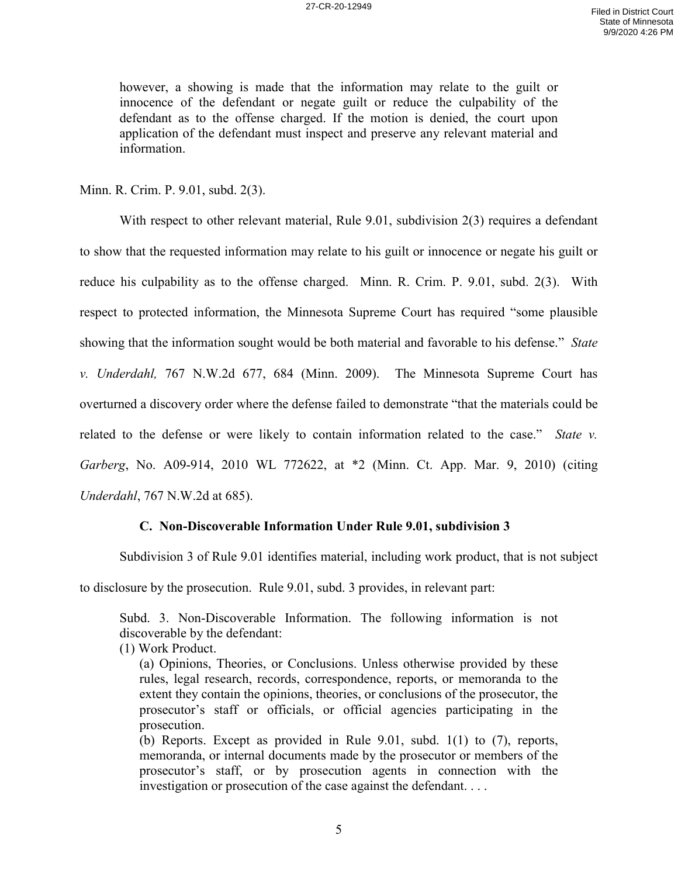however, a showing is made that the information may relate to the guilt or innocence of the defendant or negate guilt or reduce the culpability of the defendant as to the offense charged. If the motion is denied, the court upon application of the defendant must inspect and preserve any relevant material and information.

Minn. R. Crim. P. 9.01, subd. 2(3).

With respect to other relevant material, Rule 9.01, subdivision 2(3) requires a defendant to show that the requested information may relate to his guilt or innocence or negate his guilt or reduce his culpability as to the offense charged. Minn. R. Crim. P. 9.01, subd. 2(3). With respect to protected information, the Minnesota Supreme Court has required "some plausible showing that the information sought would be both material and favorable to his defense." *State v. Underdahl,* 767 N.W.2d 677, 684 (Minn. 2009). The Minnesota Supreme Court has overturned a discovery order where the defense failed to demonstrate "that the materials could be related to the defense or were likely to contain information related to the case." *State v. Garberg*, No. A09-914, 2010 WL 772622, at \*2 (Minn. Ct. App. Mar. 9, 2010) (citing *Underdahl*, 767 N.W.2d at 685).

# **C. Non-Discoverable Information Under Rule 9.01, subdivision 3**

Subdivision 3 of Rule 9.01 identifies material, including work product, that is not subject

to disclosure by the prosecution. Rule 9.01, subd. 3 provides, in relevant part:

Subd. 3. Non-Discoverable Information. The following information is not discoverable by the defendant:

(1) Work Product.

(a) Opinions, Theories, or Conclusions. Unless otherwise provided by these rules, legal research, records, correspondence, reports, or memoranda to the extent they contain the opinions, theories, or conclusions of the prosecutor, the prosecutor's staff or officials, or official agencies participating in the prosecution.

(b) Reports. Except as provided in Rule 9.01, subd. 1(1) to (7), reports, memoranda, or internal documents made by the prosecutor or members of the prosecutor's staff, or by prosecution agents in connection with the investigation or prosecution of the case against the defendant. . . .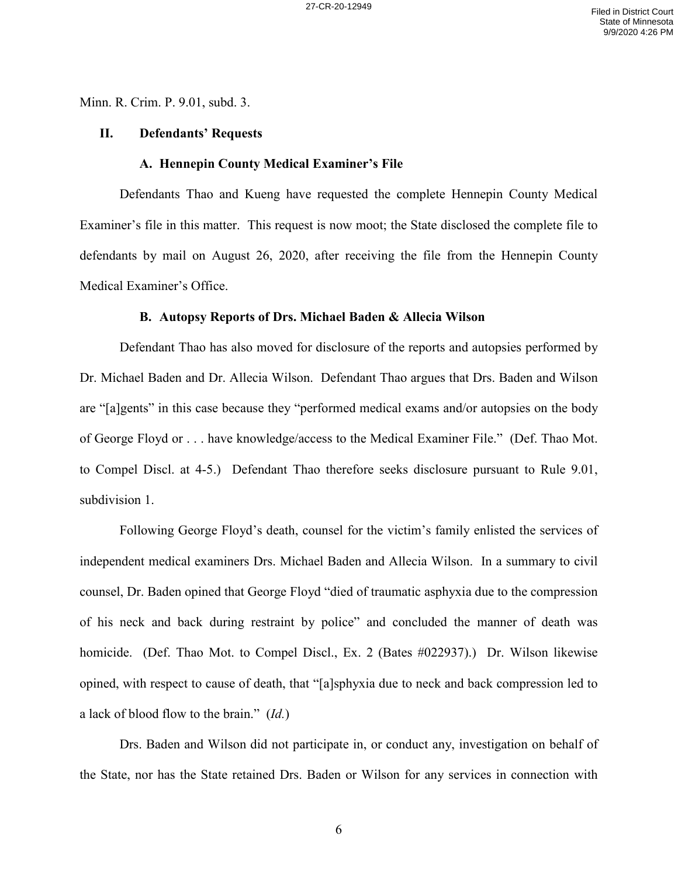Minn. R. Crim. P. 9.01, subd. 3.

#### **II. Defendants' Requests**

# **A. Hennepin County Medical Examiner's File**

Defendants Thao and Kueng have requested the complete Hennepin County Medical Examiner's file in this matter. This request is now moot; the State disclosed the complete file to defendants by mail on August 26, 2020, after receiving the file from the Hennepin County Medical Examiner's Office.

## **B. Autopsy Reports of Drs. Michael Baden & Allecia Wilson**

Defendant Thao has also moved for disclosure of the reports and autopsies performed by Dr. Michael Baden and Dr. Allecia Wilson. Defendant Thao argues that Drs. Baden and Wilson are "[a]gents" in this case because they "performed medical exams and/or autopsies on the body of George Floyd or . . . have knowledge/access to the Medical Examiner File." (Def. Thao Mot. to Compel Discl. at 4-5.) Defendant Thao therefore seeks disclosure pursuant to Rule 9.01, subdivision 1.

Following George Floyd's death, counsel for the victim's family enlisted the services of independent medical examiners Drs. Michael Baden and Allecia Wilson. In a summary to civil counsel, Dr. Baden opined that George Floyd "died of traumatic asphyxia due to the compression of his neck and back during restraint by police" and concluded the manner of death was homicide. (Def. Thao Mot. to Compel Discl., Ex. 2 (Bates #022937).) Dr. Wilson likewise opined, with respect to cause of death, that "[a]sphyxia due to neck and back compression led to a lack of blood flow to the brain." (*Id.*)

Drs. Baden and Wilson did not participate in, or conduct any, investigation on behalf of the State, nor has the State retained Drs. Baden or Wilson for any services in connection with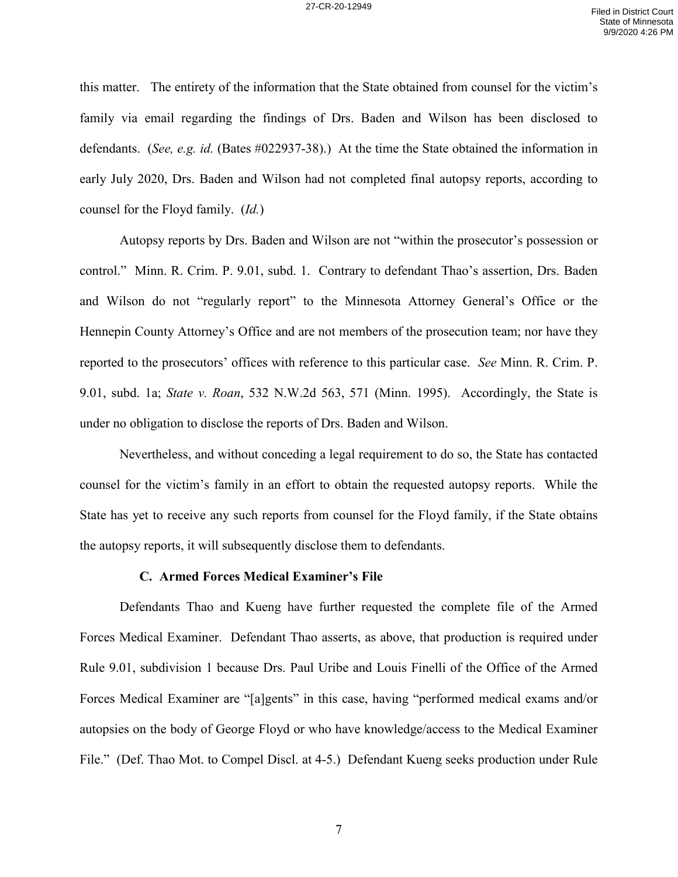this matter. The entirety of the information that the State obtained from counsel for the victim's family via email regarding the findings of Drs. Baden and Wilson has been disclosed to defendants. (*See, e.g. id.* (Bates #022937-38).) At the time the State obtained the information in early July 2020, Drs. Baden and Wilson had not completed final autopsy reports, according to counsel for the Floyd family. (*Id.*)

Autopsy reports by Drs. Baden and Wilson are not "within the prosecutor's possession or control." Minn. R. Crim. P. 9.01, subd. 1. Contrary to defendant Thao's assertion, Drs. Baden and Wilson do not "regularly report" to the Minnesota Attorney General's Office or the Hennepin County Attorney's Office and are not members of the prosecution team; nor have they reported to the prosecutors' offices with reference to this particular case. *See* Minn. R. Crim. P. 9.01, subd. 1a; *State v. Roan*, 532 N.W.2d 563, 571 (Minn. 1995). Accordingly, the State is under no obligation to disclose the reports of Drs. Baden and Wilson.

Nevertheless, and without conceding a legal requirement to do so, the State has contacted counsel for the victim's family in an effort to obtain the requested autopsy reports. While the State has yet to receive any such reports from counsel for the Floyd family, if the State obtains the autopsy reports, it will subsequently disclose them to defendants.

#### **C. Armed Forces Medical Examiner's File**

Defendants Thao and Kueng have further requested the complete file of the Armed Forces Medical Examiner. Defendant Thao asserts, as above, that production is required under Rule 9.01, subdivision 1 because Drs. Paul Uribe and Louis Finelli of the Office of the Armed Forces Medical Examiner are "[a]gents" in this case, having "performed medical exams and/or autopsies on the body of George Floyd or who have knowledge/access to the Medical Examiner File." (Def. Thao Mot. to Compel Discl. at 4-5.) Defendant Kueng seeks production under Rule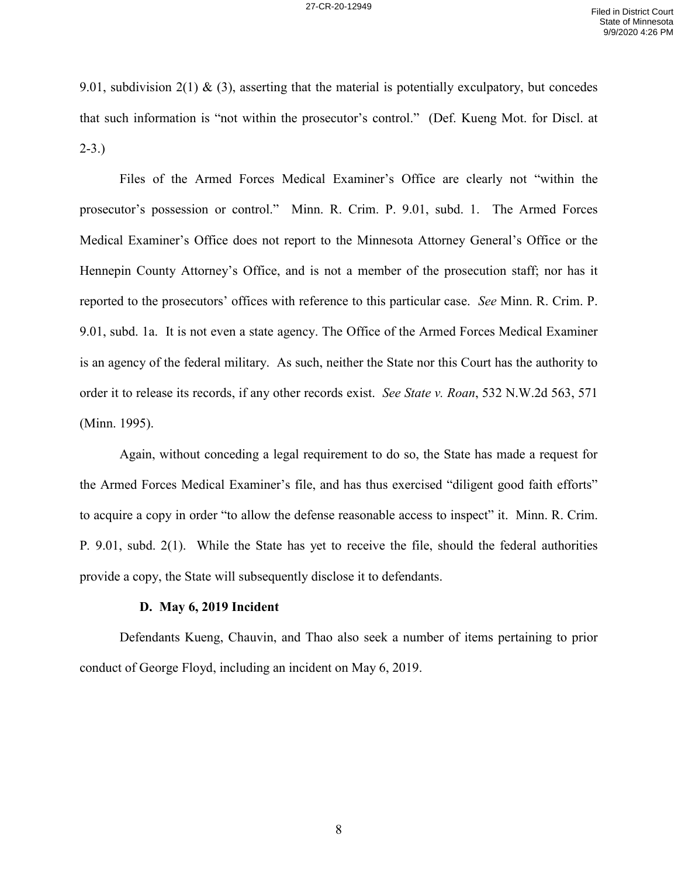9.01, subdivision 2(1) & (3), asserting that the material is potentially exculpatory, but concedes that such information is "not within the prosecutor's control." (Def. Kueng Mot. for Discl. at 2-3.)

Files of the Armed Forces Medical Examiner's Office are clearly not "within the prosecutor's possession or control." Minn. R. Crim. P. 9.01, subd. 1. The Armed Forces Medical Examiner's Office does not report to the Minnesota Attorney General's Office or the Hennepin County Attorney's Office, and is not a member of the prosecution staff; nor has it reported to the prosecutors' offices with reference to this particular case. *See* Minn. R. Crim. P. 9.01, subd. 1a. It is not even a state agency. The Office of the Armed Forces Medical Examiner is an agency of the federal military. As such, neither the State nor this Court has the authority to order it to release its records, if any other records exist. *See State v. Roan*, 532 N.W.2d 563, 571 (Minn. 1995).

Again, without conceding a legal requirement to do so, the State has made a request for the Armed Forces Medical Examiner's file, and has thus exercised "diligent good faith efforts" to acquire a copy in order "to allow the defense reasonable access to inspect" it. Minn. R. Crim. P*.* 9.01, subd. 2(1).While the State has yet to receive the file, should the federal authorities provide a copy, the State will subsequently disclose it to defendants.

# **D. May 6, 2019 Incident**

Defendants Kueng, Chauvin, and Thao also seek a number of items pertaining to prior conduct of George Floyd, including an incident on May 6, 2019.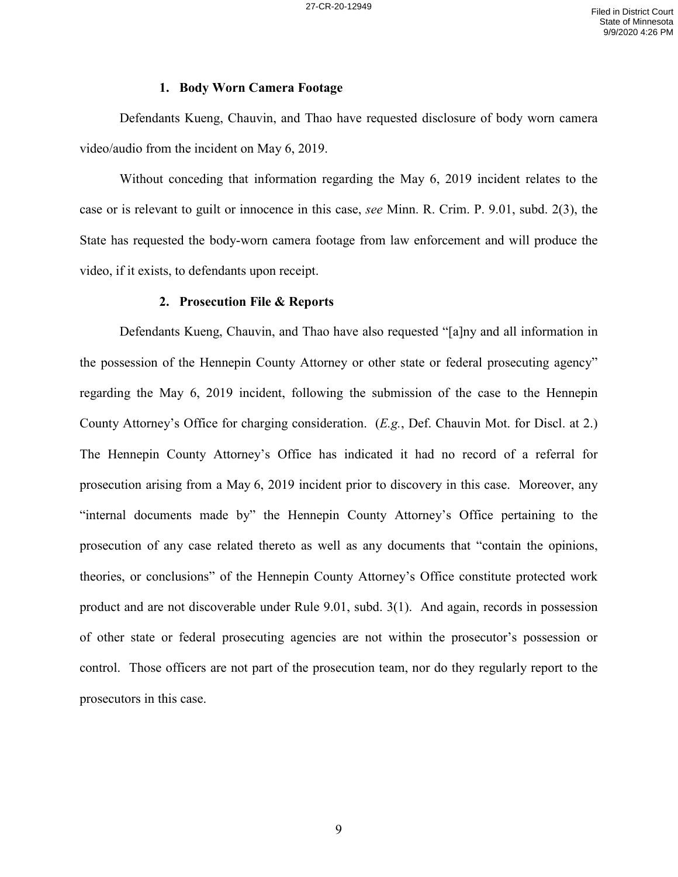## **1. Body Worn Camera Footage**

Defendants Kueng, Chauvin, and Thao have requested disclosure of body worn camera video/audio from the incident on May 6, 2019.

Without conceding that information regarding the May 6, 2019 incident relates to the case or is relevant to guilt or innocence in this case, *see* Minn. R. Crim. P. 9.01, subd. 2(3), the State has requested the body-worn camera footage from law enforcement and will produce the video, if it exists, to defendants upon receipt.

#### **2. Prosecution File & Reports**

Defendants Kueng, Chauvin, and Thao have also requested "[a]ny and all information in the possession of the Hennepin County Attorney or other state or federal prosecuting agency" regarding the May 6, 2019 incident, following the submission of the case to the Hennepin County Attorney's Office for charging consideration. (*E.g.*, Def. Chauvin Mot. for Discl. at 2.) The Hennepin County Attorney's Office has indicated it had no record of a referral for prosecution arising from a May 6, 2019 incident prior to discovery in this case. Moreover, any "internal documents made by" the Hennepin County Attorney's Office pertaining to the prosecution of any case related thereto as well as any documents that "contain the opinions, theories, or conclusions" of the Hennepin County Attorney's Office constitute protected work product and are not discoverable under Rule 9.01, subd. 3(1). And again, records in possession of other state or federal prosecuting agencies are not within the prosecutor's possession or control. Those officers are not part of the prosecution team, nor do they regularly report to the prosecutors in this case.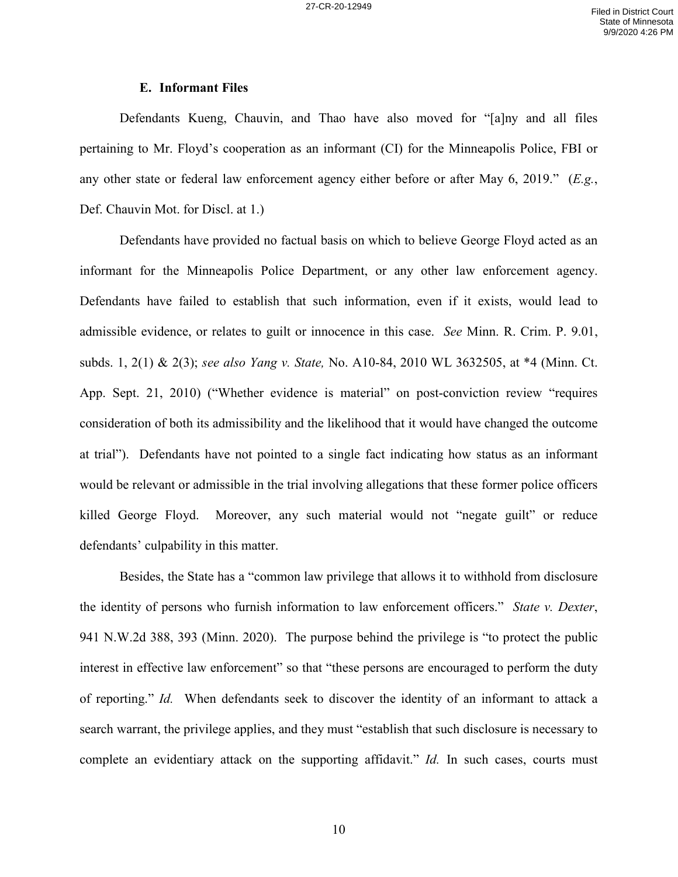#### **E. Informant Files**

Defendants Kueng, Chauvin, and Thao have also moved for "[a]ny and all files pertaining to Mr. Floyd's cooperation as an informant (CI) for the Minneapolis Police, FBI or any other state or federal law enforcement agency either before or after May 6, 2019." (*E.g.*, Def. Chauvin Mot. for Discl. at 1.)

Defendants have provided no factual basis on which to believe George Floyd acted as an informant for the Minneapolis Police Department, or any other law enforcement agency. Defendants have failed to establish that such information, even if it exists, would lead to admissible evidence, or relates to guilt or innocence in this case. *See* Minn. R. Crim. P. 9.01, subds. 1, 2(1) & 2(3); *see also Yang v. State,* No. A10-84, 2010 WL 3632505, at \*4 (Minn. Ct. App. Sept. 21, 2010) ("Whether evidence is material" on post-conviction review "requires consideration of both its admissibility and the likelihood that it would have changed the outcome at trial"). Defendants have not pointed to a single fact indicating how status as an informant would be relevant or admissible in the trial involving allegations that these former police officers killed George Floyd. Moreover, any such material would not "negate guilt" or reduce defendants' culpability in this matter.

Besides, the State has a "common law privilege that allows it to withhold from disclosure the identity of persons who furnish information to law enforcement officers." *State v. Dexter*, 941 N.W.2d 388, 393 (Minn. 2020). The purpose behind the privilege is "to protect the public interest in effective law enforcement" so that "these persons are encouraged to perform the duty of reporting." *Id.* When defendants seek to discover the identity of an informant to attack a search warrant, the privilege applies, and they must "establish that such disclosure is necessary to complete an evidentiary attack on the supporting affidavit." *Id.* In such cases, courts must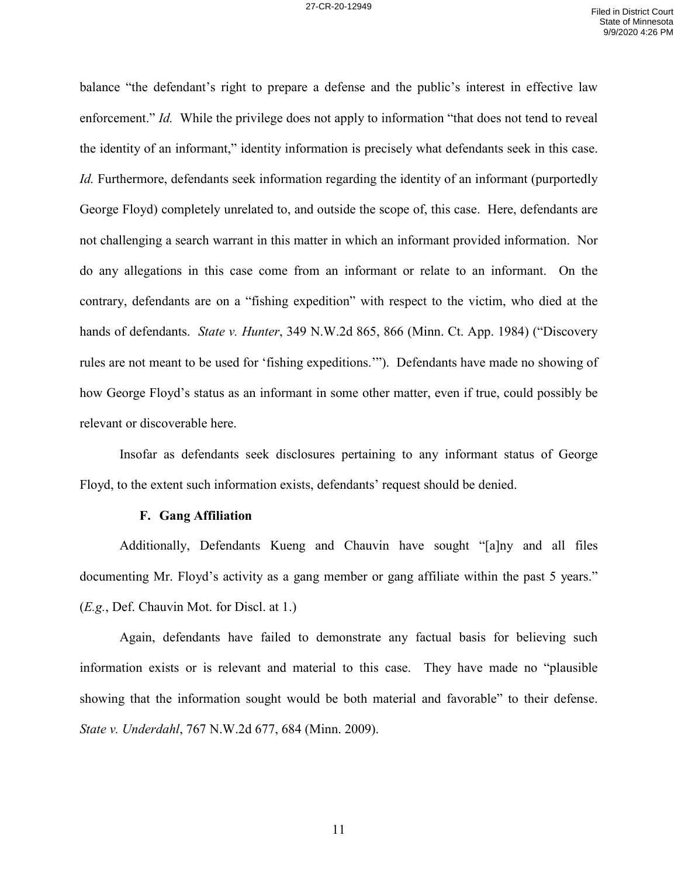balance "the defendant's right to prepare a defense and the public's interest in effective law enforcement." *Id.* While the privilege does not apply to information "that does not tend to reveal the identity of an informant," identity information is precisely what defendants seek in this case. *Id.* Furthermore, defendants seek information regarding the identity of an informant (purportedly George Floyd) completely unrelated to, and outside the scope of, this case. Here, defendants are not challenging a search warrant in this matter in which an informant provided information. Nor do any allegations in this case come from an informant or relate to an informant. On the contrary, defendants are on a "fishing expedition" with respect to the victim, who died at the hands of defendants. *State v. Hunter*, 349 N.W.2d 865, 866 (Minn. Ct. App. 1984) ("Discovery rules are not meant to be used for 'fishing expeditions.'"). Defendants have made no showing of how George Floyd's status as an informant in some other matter, even if true, could possibly be relevant or discoverable here.

Insofar as defendants seek disclosures pertaining to any informant status of George Floyd, to the extent such information exists, defendants' request should be denied.

## **F. Gang Affiliation**

Additionally, Defendants Kueng and Chauvin have sought "[a]ny and all files documenting Mr. Floyd's activity as a gang member or gang affiliate within the past 5 years." (*E.g.*, Def. Chauvin Mot. for Discl. at 1.)

Again, defendants have failed to demonstrate any factual basis for believing such information exists or is relevant and material to this case. They have made no "plausible showing that the information sought would be both material and favorable" to their defense. *State v. Underdahl*, 767 N.W.2d 677, 684 (Minn. 2009).

11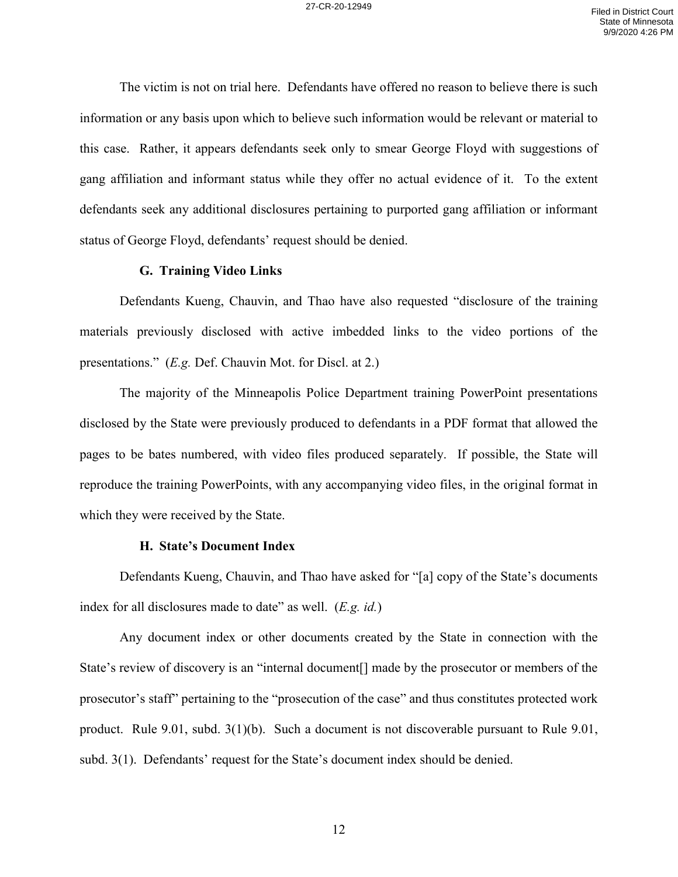The victim is not on trial here. Defendants have offered no reason to believe there is such information or any basis upon which to believe such information would be relevant or material to this case. Rather, it appears defendants seek only to smear George Floyd with suggestions of gang affiliation and informant status while they offer no actual evidence of it. To the extent defendants seek any additional disclosures pertaining to purported gang affiliation or informant status of George Floyd, defendants' request should be denied.

# **G. Training Video Links**

Defendants Kueng, Chauvin, and Thao have also requested "disclosure of the training materials previously disclosed with active imbedded links to the video portions of the presentations." (*E.g.* Def. Chauvin Mot. for Discl. at 2.)

The majority of the Minneapolis Police Department training PowerPoint presentations disclosed by the State were previously produced to defendants in a PDF format that allowed the pages to be bates numbered, with video files produced separately. If possible, the State will reproduce the training PowerPoints, with any accompanying video files, in the original format in which they were received by the State.

## **H. State's Document Index**

Defendants Kueng, Chauvin, and Thao have asked for "[a] copy of the State's documents index for all disclosures made to date" as well. (*E.g. id.*)

Any document index or other documents created by the State in connection with the State's review of discovery is an "internal document[] made by the prosecutor or members of the prosecutor's staff" pertaining to the "prosecution of the case" and thus constitutes protected work product. Rule 9.01, subd. 3(1)(b). Such a document is not discoverable pursuant to Rule 9.01, subd. 3(1). Defendants' request for the State's document index should be denied.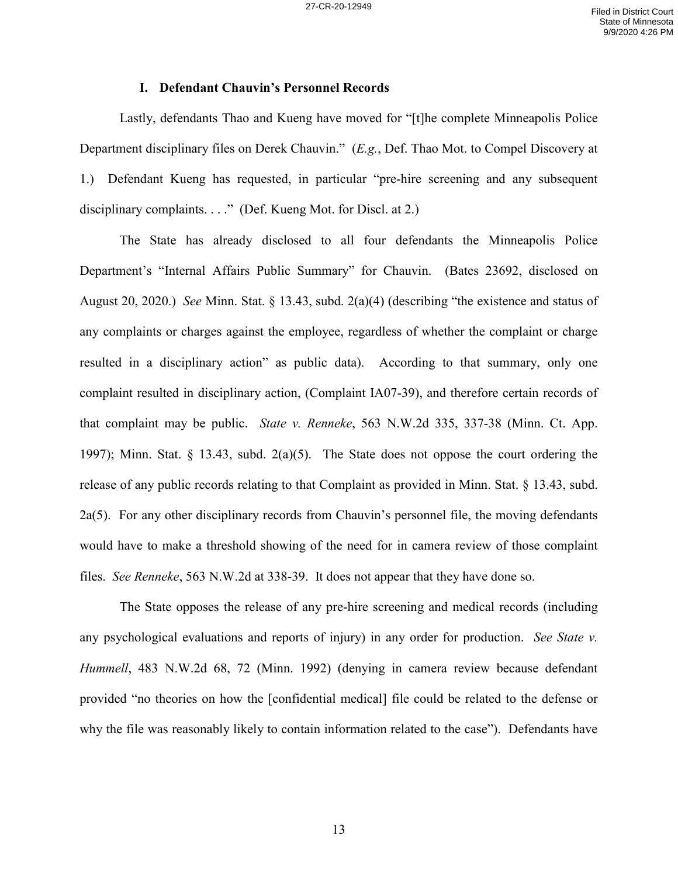#### **I. Defendant Chauvin's Personnel Records**

Lastly, defendants Thao and Kueng have moved for "[t]he complete Minneapolis Police Department disciplinary files on Derek Chauvin." (*E.g.*, Def. Thao Mot. to Compel Discovery at 1.) Defendant Kueng has requested, in particular "pre-hire screening and any subsequent disciplinary complaints. . . ." (Def. Kueng Mot. for Discl. at 2.)

The State has already disclosed to all four defendants the Minneapolis Police Department's "Internal Affairs Public Summary" for Chauvin. (Bates 23692, disclosed on August 20, 2020.) *See* Minn. Stat. § 13.43, subd. 2(a)(4) (describing "the existence and status of any complaints or charges against the employee, regardless of whether the complaint or charge resulted in a disciplinary action" as public data). According to that summary, only one complaint resulted in disciplinary action, (Complaint IA07-39), and therefore certain records of that complaint may be public. *State v. Renneke*, 563 N.W.2d 335, 337-38 (Minn. Ct. App. 1997); Minn. Stat. § 13.43, subd. 2(a)(5). The State does not oppose the court ordering the release of any public records relating to that Complaint as provided in Minn. Stat. § 13.43, subd. 2a(5). For any other disciplinary records from Chauvin's personnel file, the moving defendants would have to make a threshold showing of the need for in camera review of those complaint files. *See Renneke*, 563 N.W.2d at 338-39. It does not appear that they have done so.

The State opposes the release of any pre-hire screening and medical records (including any psychological evaluations and reports of injury) in any order for production. *See State v. Hummell*, 483 N.W.2d 68, 72 (Minn. 1992) (denying in camera review because defendant provided "no theories on how the [confidential medical] file could be related to the defense or why the file was reasonably likely to contain information related to the case"). Defendants have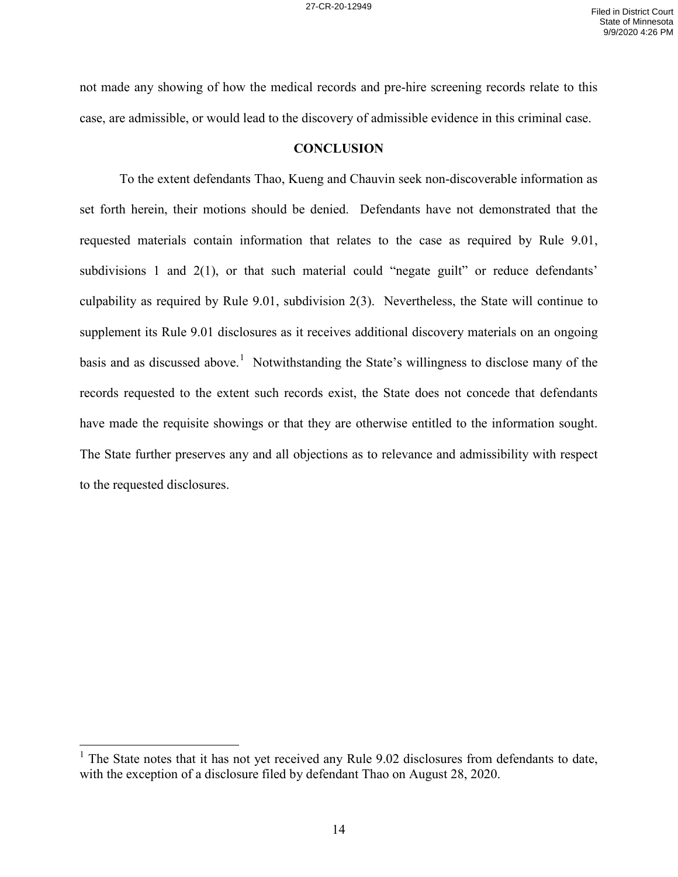not made any showing of how the medical records and pre-hire screening records relate to this case, are admissible, or would lead to the discovery of admissible evidence in this criminal case.

#### **CONCLUSION**

To the extent defendants Thao, Kueng and Chauvin seek non-discoverable information as set forth herein, their motions should be denied. Defendants have not demonstrated that the requested materials contain information that relates to the case as required by Rule 9.01, subdivisions 1 and 2(1), or that such material could "negate guilt" or reduce defendants' culpability as required by Rule 9.01, subdivision 2(3). Nevertheless, the State will continue to supplement its Rule 9.01 disclosures as it receives additional discovery materials on an ongoing basis and as discussed above.<sup>[1](#page-13-0)</sup> Notwithstanding the State's willingness to disclose many of the records requested to the extent such records exist, the State does not concede that defendants have made the requisite showings or that they are otherwise entitled to the information sought. The State further preserves any and all objections as to relevance and admissibility with respect to the requested disclosures.

 $\overline{a}$ 

<span id="page-13-0"></span><sup>&</sup>lt;sup>1</sup> The State notes that it has not yet received any Rule 9.02 disclosures from defendants to date, with the exception of a disclosure filed by defendant Thao on August 28, 2020.